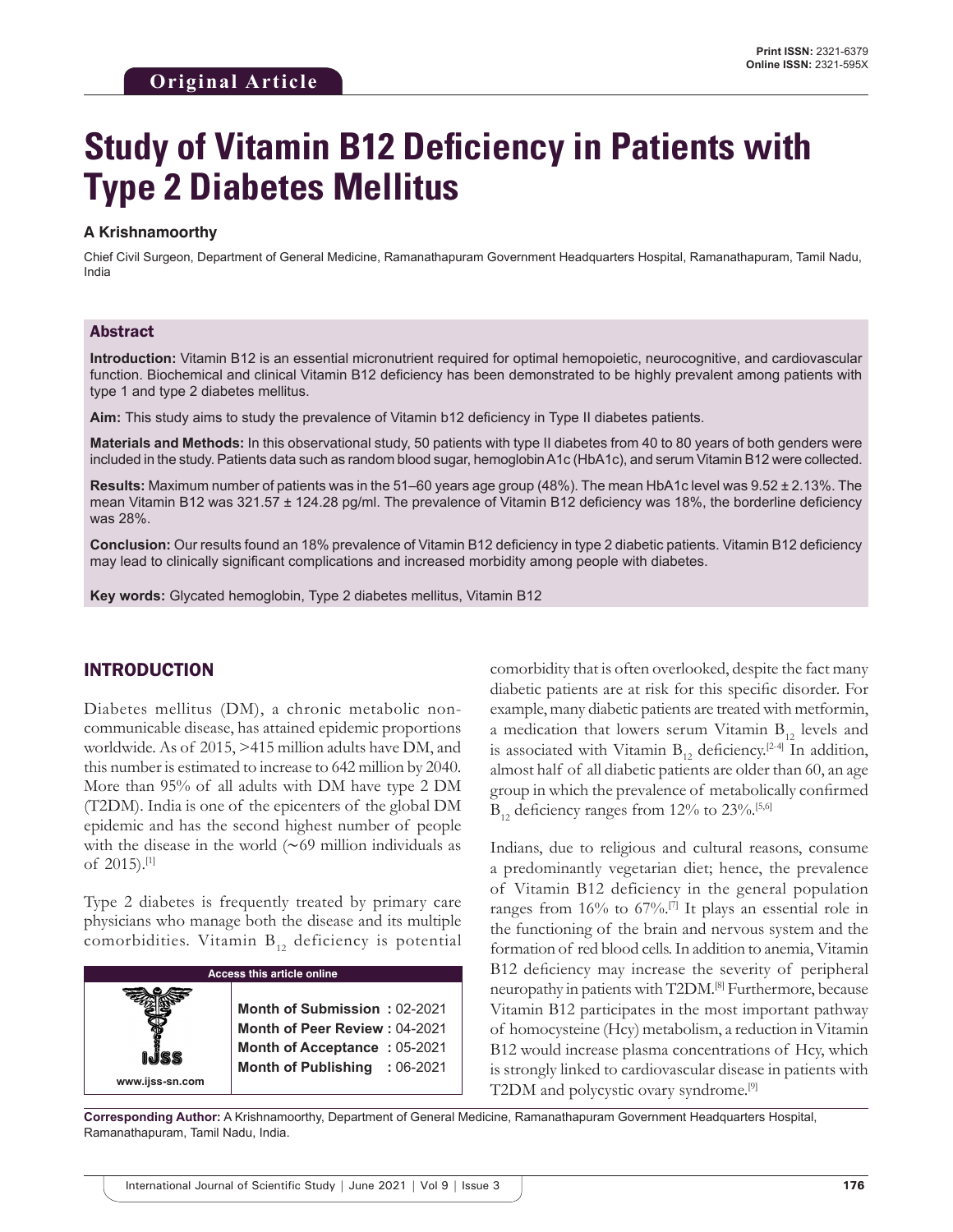# **Study of Vitamin B12 Deficiency in Patients with Type 2 Diabetes Mellitus**

### **A Krishnamoorthy**

Chief Civil Surgeon, Department of General Medicine, Ramanathapuram Government Headquarters Hospital, Ramanathapuram, Tamil Nadu, India

#### Abstract

**Introduction:** Vitamin B12 is an essential micronutrient required for optimal hemopoietic, neurocognitive, and cardiovascular function. Biochemical and clinical Vitamin B12 deficiency has been demonstrated to be highly prevalent among patients with type 1 and type 2 diabetes mellitus.

**Aim:** This study aims to study the prevalence of Vitamin b12 deficiency in Type II diabetes patients.

**Materials and Methods:** In this observational study, 50 patients with type II diabetes from 40 to 80 years of both genders were included in the study. Patients data such as random blood sugar, hemoglobin A1c (HbA1c), and serum Vitamin B12 were collected.

**Results:** Maximum number of patients was in the 51–60 years age group (48%). The mean HbA1c level was 9.52 ± 2.13%. The mean Vitamin B12 was 321.57 ± 124.28 pg/ml. The prevalence of Vitamin B12 deficiency was 18%, the borderline deficiency was 28%.

**Conclusion:** Our results found an 18% prevalence of Vitamin B12 deficiency in type 2 diabetic patients. Vitamin B12 deficiency may lead to clinically significant complications and increased morbidity among people with diabetes.

**Key words:** Glycated hemoglobin, Type 2 diabetes mellitus, Vitamin B12

# INTRODUCTION

Diabetes mellitus (DM), a chronic metabolic noncommunicable disease, has attained epidemic proportions worldwide. As of 2015, >415 million adults have DM, and this number is estimated to increase to 642 million by 2040. More than 95% of all adults with DM have type 2 DM (T2DM). India is one of the epicenters of the global DM epidemic and has the second highest number of people with the disease in the world (∼69 million individuals as of 2015).[1]

Type 2 diabetes is frequently treated by primary care physicians who manage both the disease and its multiple comorbidities. Vitamin  $B_{12}$  deficiency is potential

| <b>Access this article online</b> |                                                                                                      |
|-----------------------------------|------------------------------------------------------------------------------------------------------|
|                                   | Month of Submission: 02-2021<br>Month of Peer Review: 04-2021<br><b>Month of Acceptance: 05-2021</b> |
| www.ijss-sn.com                   | Month of Publishing : 06-2021                                                                        |

comorbidity that is often overlooked, despite the fact many diabetic patients are at risk for this specific disorder. For example, many diabetic patients are treated with metformin, a medication that lowers serum Vitamin  $B_{12}$  levels and is associated with Vitamin  $B_{12}$  deficiency.<sup>[2-4]</sup> In addition, almost half of all diabetic patients are older than 60, an age group in which the prevalence of metabolically confirmed  $B_{12}$  deficiency ranges from 12% to 23%.<sup>[5,6]</sup>

Indians, due to religious and cultural reasons, consume a predominantly vegetarian diet; hence, the prevalence of Vitamin B12 deficiency in the general population ranges from 16% to 67%.[7] It plays an essential role in the functioning of the brain and nervous system and the formation of red blood cells. In addition to anemia, Vitamin B12 deficiency may increase the severity of peripheral neuropathy in patients with T2DM.[8] Furthermore, because Vitamin B12 participates in the most important pathway of homocysteine (Hcy) metabolism, a reduction in Vitamin B12 would increase plasma concentrations of Hcy, which is strongly linked to cardiovascular disease in patients with T2DM and polycystic ovary syndrome.[9]

**Corresponding Author:** A Krishnamoorthy, Department of General Medicine, Ramanathapuram Government Headquarters Hospital, Ramanathapuram, Tamil Nadu, India.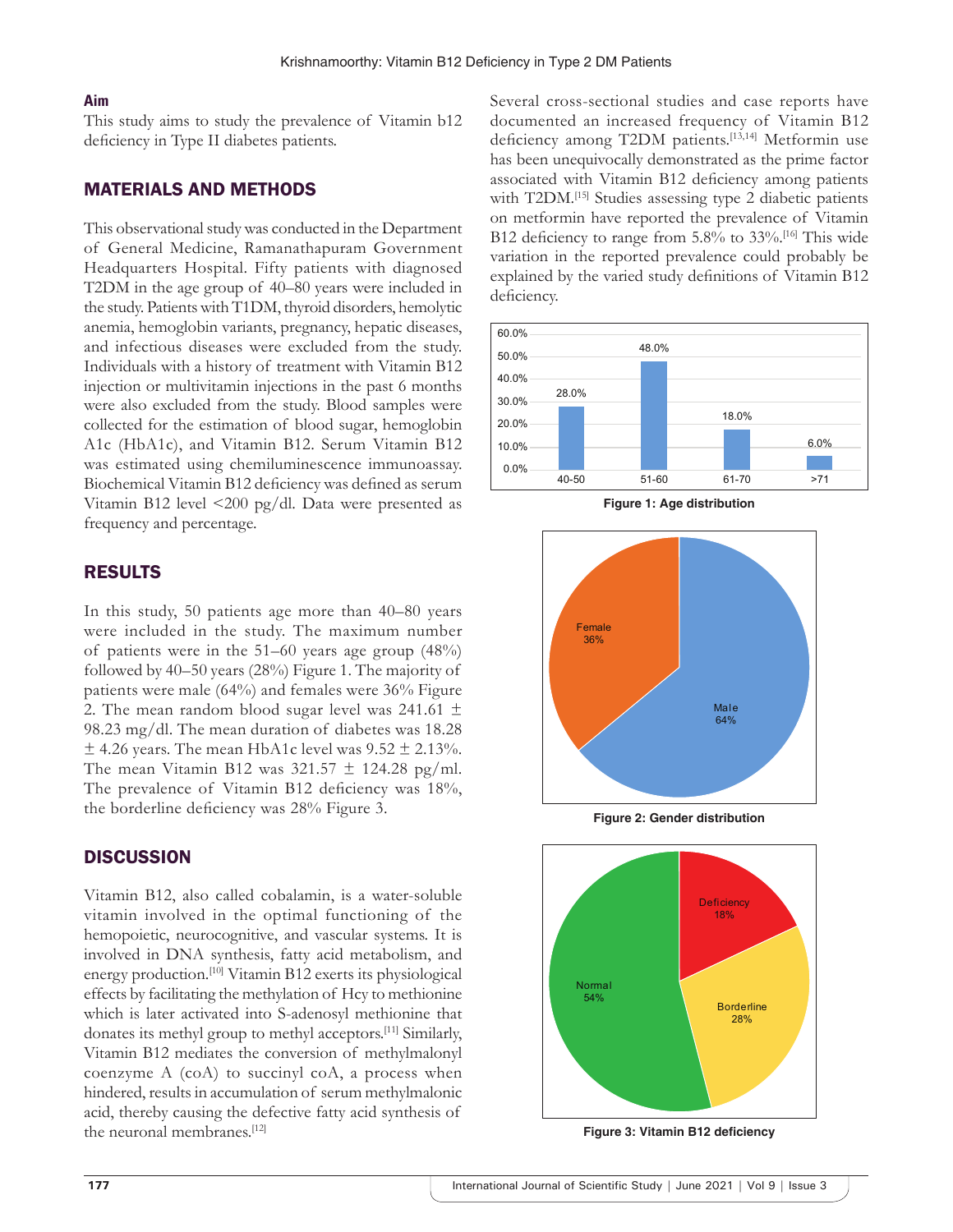#### **Aim**

This study aims to study the prevalence of Vitamin b12 deficiency in Type II diabetes patients.

# MATERIALS AND METHODS

This observational study was conducted in the Department of General Medicine, Ramanathapuram Government Headquarters Hospital. Fifty patients with diagnosed T2DM in the age group of 40–80 years were included in the study. Patients with T1DM, thyroid disorders, hemolytic anemia, hemoglobin variants, pregnancy, hepatic diseases, and infectious diseases were excluded from the study. Individuals with a history of treatment with Vitamin B12 injection or multivitamin injections in the past 6 months were also excluded from the study. Blood samples were collected for the estimation of blood sugar, hemoglobin A1c (HbA1c), and Vitamin B12. Serum Vitamin B12 was estimated using chemiluminescence immunoassay. Biochemical Vitamin B12 deficiency was defined as serum Vitamin B12 level <200 pg/dl. Data were presented as frequency and percentage.

# RESULTS

In this study, 50 patients age more than 40–80 years were included in the study. The maximum number of patients were in the 51–60 years age group (48%) followed by 40–50 years (28%) Figure 1. The majority of patients were male (64%) and females were 36% Figure 2. The mean random blood sugar level was 241.61  $\pm$ 98.23 mg/dl. The mean duration of diabetes was 18.28  $\pm$  4.26 years. The mean HbA1c level was 9.52  $\pm$  2.13%. The mean Vitamin B12 was  $321.57 \pm 124.28$  pg/ml. The prevalence of Vitamin B12 deficiency was 18%, the borderline deficiency was 28% Figure 3.

## **DISCUSSION**

Vitamin B12, also called cobalamin, is a water-soluble vitamin involved in the optimal functioning of the hemopoietic, neurocognitive, and vascular systems. It is involved in DNA synthesis, fatty acid metabolism, and energy production.[10] Vitamin B12 exerts its physiological effects by facilitating the methylation of Hcy to methionine which is later activated into S-adenosyl methionine that donates its methyl group to methyl acceptors.[11] Similarly, Vitamin B12 mediates the conversion of methylmalonyl coenzyme A (coA) to succinyl coA, a process when hindered, results in accumulation of serum methylmalonic acid, thereby causing the defective fatty acid synthesis of the neuronal membranes.<sup>[12]</sup>

Several cross-sectional studies and case reports have documented an increased frequency of Vitamin B12 deficiency among T2DM patients.[13,14] Metformin use has been unequivocally demonstrated as the prime factor associated with Vitamin B12 deficiency among patients with T2DM.<sup>[15]</sup> Studies assessing type 2 diabetic patients on metformin have reported the prevalence of Vitamin B12 deficiency to range from 5.8% to 33%.<sup>[16]</sup> This wide variation in the reported prevalence could probably be explained by the varied study definitions of Vitamin B12 deficiency.



**Figure 1: Age distribution**



**Figure 2: Gender distribution**



**Figure 3: Vitamin B12 deficiency**